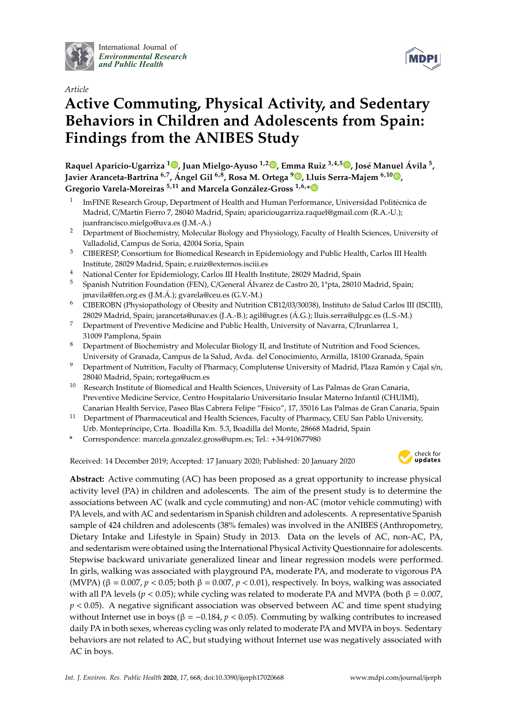

International Journal of *[Environmental Research](http://www.mdpi.com/journal/ijerph) and Public Health*



# **Active Commuting, Physical Activity, and Sedentary Behaviors in Children and Adolescents from Spain: Findings from the ANIBES Study**

**Raquel Aparicio-Ugarriza [1](https://orcid.org/0000-0001-7342-5972) , Juan Mielgo-Ayuso 1,2 [,](https://orcid.org/0000-0002-6554-4602) Emma Ruiz 3,4,5 [,](https://orcid.org/0000-0003-3662-4440) José Manuel Ávila <sup>5</sup> , Javier Aranceta-Bartrina 6,7 , Ángel Gil 6,8, Rosa M. Ortega <sup>9</sup> [,](https://orcid.org/0000-0003-3837-9450) Lluis Serra-Majem 6,10 [,](https://orcid.org/0000-0002-9658-9061) Gregorio Varela-Moreiras 5,11 and Marcela González-Gross 1,6,[\\*](https://orcid.org/0000-0001-7757-3235)**

- 1 ImFINE Research Group, Department of Health and Human Performance, Universidad Politécnica de Madrid, C/Martín Fierro 7, 28040 Madrid, Spain; apariciougarriza.raquel@gmail.com (R.A.-U.); juanfrancisco.mielgo@uva.es (J.M.-A.)
- <sup>2</sup> Department of Biochemistry, Molecular Biology and Physiology, Faculty of Health Sciences, University of Valladolid, Campus de Soria, 42004 Soria, Spain
- <sup>3</sup> CIBERESP, Consortium for Biomedical Research in Epidemiology and Public Health, Carlos III Health Institute, 28029 Madrid, Spain; e.ruiz@externos.isciii.es
- <sup>4</sup> National Center for Epidemiology, Carlos III Health Institute, 28029 Madrid, Spain
- <sup>5</sup> Spanish Nutrition Foundation (FEN), C/General Álvarez de Castro 20, 1<sup>ª</sup>pta, 28010 Madrid, Spain; jmavila@fen.org.es (J.M.Á.); gvarela@ceu.es (G.V.-M.)
- <sup>6</sup> CIBEROBN (Physiopathology of Obesity and Nutrition CB12/03/30038), Instituto de Salud Carlos III (ISCIII), 28029 Madrid, Spain; jaranceta@unav.es (J.A.-B.); agil@ugr.es (Á.G.); lluis.serra@ulpgc.es (L.S.-M.)
- <sup>7</sup> Department of Preventive Medicine and Public Health, University of Navarra, C/Irunlarrea 1, 31009 Pamplona, Spain
- <sup>8</sup> Department of Biochemistry and Molecular Biology II, and Institute of Nutrition and Food Sciences, University of Granada, Campus de la Salud, Avda. del Conocimiento, Armilla, 18100 Granada, Spain
- <sup>9</sup> Department of Nutrition, Faculty of Pharmacy, Complutense University of Madrid, Plaza Ramón y Cajal s/n, 28040 Madrid, Spain; rortega@ucm.es
- <sup>10</sup> Research Institute of Biomedical and Health Sciences, University of Las Palmas de Gran Canaria, Preventive Medicine Service, Centro Hospitalario Universitario Insular Materno Infantil (CHUIMI), Canarian Health Service, Paseo Blas Cabrera Felipe "Físico", 17, 35016 Las Palmas de Gran Canaria, Spain
- <sup>11</sup> Department of Pharmaceutical and Health Sciences, Faculty of Pharmacy, CEU San Pablo University, Urb. Montepríncipe, Crta. Boadilla Km. 5.3, Boadilla del Monte, 28668 Madrid, Spain
- **\*** Correspondence: marcela.gonzalez.gross@upm.es; Tel.: +34-910677980

Received: 14 December 2019; Accepted: 17 January 2020; Published: 20 January 2020



**MDPI** 

**Abstract:** Active commuting (AC) has been proposed as a great opportunity to increase physical activity level (PA) in children and adolescents. The aim of the present study is to determine the associations between AC (walk and cycle commuting) and non-AC (motor vehicle commuting) with PA levels, and with AC and sedentarism in Spanish children and adolescents. A representative Spanish sample of 424 children and adolescents (38% females) was involved in the ANIBES (Anthropometry, Dietary Intake and Lifestyle in Spain) Study in 2013. Data on the levels of AC, non-AC, PA, and sedentarism were obtained using the International Physical Activity Questionnaire for adolescents. Stepwise backward univariate generalized linear and linear regression models were performed. In girls, walking was associated with playground PA, moderate PA, and moderate to vigorous PA (MVPA) ( $\beta = 0.007$ ,  $p < 0.05$ ; both  $\beta = 0.007$ ,  $p < 0.01$ ), respectively. In boys, walking was associated with all PA levels ( $p < 0.05$ ); while cycling was related to moderate PA and MVPA (both  $\beta = 0.007$ ,  $p < 0.05$ ). A negative significant association was observed between AC and time spent studying without Internet use in boys (β =  $-0.184$ , *p* < 0.05). Commuting by walking contributes to increased daily PA in both sexes, whereas cycling was only related to moderate PA and MVPA in boys. Sedentary behaviors are not related to AC, but studying without Internet use was negatively associated with AC in boys.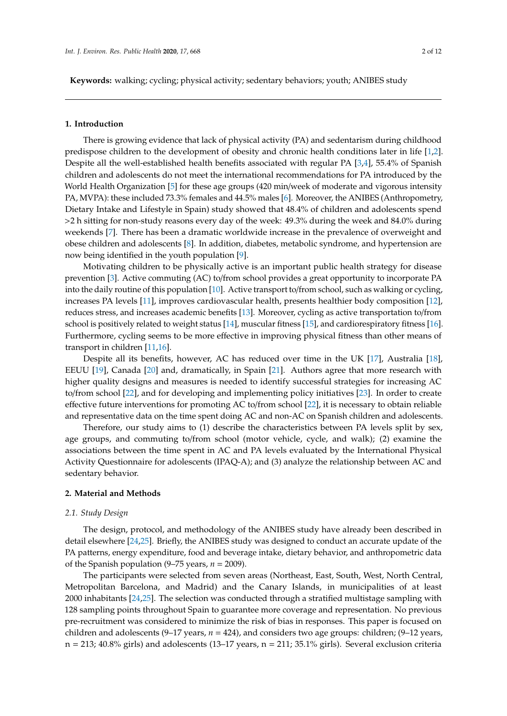**Keywords:** walking; cycling; physical activity; sedentary behaviors; youth; ANIBES study

#### **1. Introduction**

There is growing evidence that lack of physical activity (PA) and sedentarism during childhood predispose children to the development of obesity and chronic health conditions later in life [\[1,](#page-9-0)[2\]](#page-9-1). Despite all the well-established health benefits associated with regular PA [\[3,](#page-9-2)[4\]](#page-9-3), 55.4% of Spanish children and adolescents do not meet the international recommendations for PA introduced by the World Health Organization [\[5\]](#page-9-4) for these age groups (420 min/week of moderate and vigorous intensity PA, MVPA): these included 73.3% females and 44.5% males [\[6\]](#page-9-5). Moreover, the ANIBES (Anthropometry, Dietary Intake and Lifestyle in Spain) study showed that 48.4% of children and adolescents spend >2 h sitting for non-study reasons every day of the week: 49.3% during the week and 84.0% during weekends [\[7\]](#page-9-6). There has been a dramatic worldwide increase in the prevalence of overweight and obese children and adolescents [\[8\]](#page-9-7). In addition, diabetes, metabolic syndrome, and hypertension are now being identified in the youth population [\[9\]](#page-9-8).

Motivating children to be physically active is an important public health strategy for disease prevention [\[3\]](#page-9-2). Active commuting (AC) to/from school provides a great opportunity to incorporate PA into the daily routine of this population [\[10\]](#page-10-0). Active transport to/from school, such as walking or cycling, increases PA levels [\[11\]](#page-10-1), improves cardiovascular health, presents healthier body composition [\[12\]](#page-10-2), reduces stress, and increases academic benefits [\[13\]](#page-10-3). Moreover, cycling as active transportation to/from school is positively related to weight status [\[14\]](#page-10-4), muscular fitness [\[15\]](#page-10-5), and cardiorespiratory fitness [\[16\]](#page-10-6). Furthermore, cycling seems to be more effective in improving physical fitness than other means of transport in children [\[11,](#page-10-1)[16\]](#page-10-6).

Despite all its benefits, however, AC has reduced over time in the UK [\[17\]](#page-10-7), Australia [\[18\]](#page-10-8), EEUU [\[19\]](#page-10-9), Canada [\[20\]](#page-10-10) and, dramatically, in Spain [\[21\]](#page-10-11). Authors agree that more research with higher quality designs and measures is needed to identify successful strategies for increasing AC to/from school [\[22\]](#page-10-12), and for developing and implementing policy initiatives [\[23\]](#page-10-13). In order to create effective future interventions for promoting AC to/from school [\[22\]](#page-10-12), it is necessary to obtain reliable and representative data on the time spent doing AC and non-AC on Spanish children and adolescents.

Therefore, our study aims to (1) describe the characteristics between PA levels split by sex, age groups, and commuting to/from school (motor vehicle, cycle, and walk); (2) examine the associations between the time spent in AC and PA levels evaluated by the International Physical Activity Questionnaire for adolescents (IPAQ-A); and (3) analyze the relationship between AC and sedentary behavior.

## **2. Material and Methods**

#### *2.1. Study Design*

The design, protocol, and methodology of the ANIBES study have already been described in detail elsewhere [\[24,](#page-10-14)[25\]](#page-10-15). Briefly, the ANIBES study was designed to conduct an accurate update of the PA patterns, energy expenditure, food and beverage intake, dietary behavior, and anthropometric data of the Spanish population  $(9-75 \text{ years}, n = 2009)$ .

The participants were selected from seven areas (Northeast, East, South, West, North Central, Metropolitan Barcelona, and Madrid) and the Canary Islands, in municipalities of at least 2000 inhabitants [\[24](#page-10-14)[,25\]](#page-10-15). The selection was conducted through a stratified multistage sampling with 128 sampling points throughout Spain to guarantee more coverage and representation. No previous pre-recruitment was considered to minimize the risk of bias in responses. This paper is focused on children and adolescents (9–17 years, *n* = 424), and considers two age groups: children; (9–12 years,  $n = 213$ ; 40.8% girls) and adolescents (13–17 years,  $n = 211$ ; 35.1% girls). Several exclusion criteria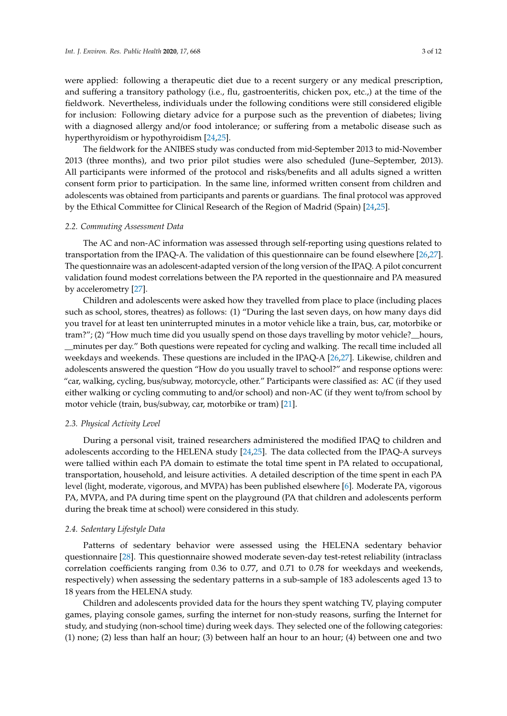were applied: following a therapeutic diet due to a recent surgery or any medical prescription, and suffering a transitory pathology (i.e., flu, gastroenteritis, chicken pox, etc.,) at the time of the fieldwork. Nevertheless, individuals under the following conditions were still considered eligible for inclusion: Following dietary advice for a purpose such as the prevention of diabetes; living with a diagnosed allergy and/or food intolerance; or suffering from a metabolic disease such as hyperthyroidism or hypothyroidism [\[24](#page-10-14)[,25\]](#page-10-15).

The fieldwork for the ANIBES study was conducted from mid-September 2013 to mid-November 2013 (three months), and two prior pilot studies were also scheduled (June–September, 2013). All participants were informed of the protocol and risks/benefits and all adults signed a written consent form prior to participation. In the same line, informed written consent from children and adolescents was obtained from participants and parents or guardians. The final protocol was approved by the Ethical Committee for Clinical Research of the Region of Madrid (Spain) [\[24,](#page-10-14)[25\]](#page-10-15).

## *2.2. Commuting Assessment Data*

The AC and non-AC information was assessed through self-reporting using questions related to transportation from the IPAQ-A. The validation of this questionnaire can be found elsewhere [\[26,](#page-10-16)[27\]](#page-10-17). The questionnaire was an adolescent-adapted version of the long version of the IPAQ. A pilot concurrent validation found modest correlations between the PA reported in the questionnaire and PA measured by accelerometry [\[27\]](#page-10-17).

Children and adolescents were asked how they travelled from place to place (including places such as school, stores, theatres) as follows: (1) "During the last seven days, on how many days did you travel for at least ten uninterrupted minutes in a motor vehicle like a train, bus, car, motorbike or tram?"; (2) "How much time did you usually spend on those days travelling by motor vehicle?\_\_hours, \_\_minutes per day." Both questions were repeated for cycling and walking. The recall time included all weekdays and weekends. These questions are included in the IPAQ-A [\[26](#page-10-16)[,27\]](#page-10-17). Likewise, children and adolescents answered the question "How do you usually travel to school?" and response options were: "car, walking, cycling, bus/subway, motorcycle, other." Participants were classified as: AC (if they used either walking or cycling commuting to and/or school) and non-AC (if they went to/from school by motor vehicle (train, bus/subway, car, motorbike or tram) [\[21\]](#page-10-11).

#### *2.3. Physical Activity Level*

During a personal visit, trained researchers administered the modified IPAQ to children and adolescents according to the HELENA study [\[24](#page-10-14)[,25\]](#page-10-15). The data collected from the IPAQ-A surveys were tallied within each PA domain to estimate the total time spent in PA related to occupational, transportation, household, and leisure activities. A detailed description of the time spent in each PA level (light, moderate, vigorous, and MVPA) has been published elsewhere [\[6\]](#page-9-5). Moderate PA, vigorous PA, MVPA, and PA during time spent on the playground (PA that children and adolescents perform during the break time at school) were considered in this study.

#### *2.4. Sedentary Lifestyle Data*

Patterns of sedentary behavior were assessed using the HELENA sedentary behavior questionnaire [\[28\]](#page-11-0). This questionnaire showed moderate seven-day test-retest reliability (intraclass correlation coefficients ranging from 0.36 to 0.77, and 0.71 to 0.78 for weekdays and weekends, respectively) when assessing the sedentary patterns in a sub-sample of 183 adolescents aged 13 to 18 years from the HELENA study.

Children and adolescents provided data for the hours they spent watching TV, playing computer games, playing console games, surfing the internet for non-study reasons, surfing the Internet for study, and studying (non-school time) during week days. They selected one of the following categories: (1) none; (2) less than half an hour; (3) between half an hour to an hour; (4) between one and two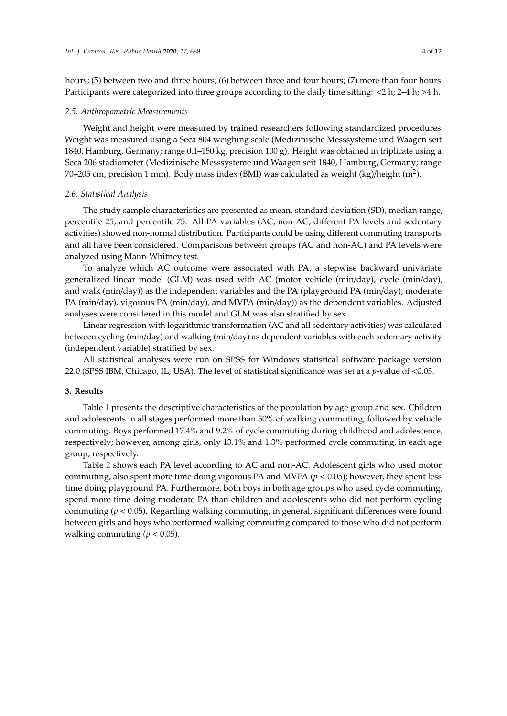hours; (5) between two and three hours; (6) between three and four hours; (7) more than four hours. Participants were categorized into three groups according to the daily time sitting: <2 h; 2–4 h; >4 h.

#### *2.5. Anthropometric Measurements*

Weight and height were measured by trained researchers following standardized procedures. Weight was measured using a Seca 804 weighing scale (Medizinische Messsysteme und Waagen seit 1840, Hamburg, Germany; range 0.1–150 kg, precision 100 g). Height was obtained in triplicate using a Seca 206 stadiometer (Medizinische Messsysteme und Waagen seit 1840, Hamburg, Germany; range 70–205 cm, precision 1 mm). Body mass index (BMI) was calculated as weight (kg)/height (m<sup>2</sup>).

#### *2.6. Statistical Analysis*

The study sample characteristics are presented as mean, standard deviation (SD), median range, percentile 25, and percentile 75. All PA variables (AC, non-AC, different PA levels and sedentary activities) showed non-normal distribution. Participants could be using different commuting transports and all have been considered. Comparisons between groups (AC and non-AC) and PA levels were analyzed using Mann-Whitney test.

To analyze which AC outcome were associated with PA, a stepwise backward univariate generalized linear model (GLM) was used with AC (motor vehicle (min/day), cycle (min/day), and walk (min/day)) as the independent variables and the PA (playground PA (min/day), moderate PA (min/day), vigorous PA (min/day), and MVPA (min/day)) as the dependent variables. Adjusted analyses were considered in this model and GLM was also stratified by sex.

Linear regression with logarithmic transformation (AC and all sedentary activities) was calculated between cycling (min/day) and walking (min/day) as dependent variables with each sedentary activity (independent variable) stratified by sex.

All statistical analyses were run on SPSS for Windows statistical software package version 22.0 (SPSS IBM, Chicago, IL, USA). The level of statistical significance was set at a *p*-value of <0.05.

# **3. Results**

Table [1](#page-4-0) presents the descriptive characteristics of the population by age group and sex. Children and adolescents in all stages performed more than 50% of walking commuting, followed by vehicle commuting. Boys performed 17.4% and 9.2% of cycle commuting during childhood and adolescence, respectively; however, among girls, only 13.1% and 1.3% performed cycle commuting, in each age group, respectively.

Table [2](#page-5-0) shows each PA level according to AC and non-AC. Adolescent girls who used motor commuting, also spent more time doing vigorous PA and MVPA (*p* < 0.05); however, they spent less time doing playground PA. Furthermore, both boys in both age groups who used cycle commuting, spend more time doing moderate PA than children and adolescents who did not perform cycling commuting (*p* < 0.05). Regarding walking commuting, in general, significant differences were found between girls and boys who performed walking commuting compared to those who did not perform walking commuting ( $p < 0.05$ ).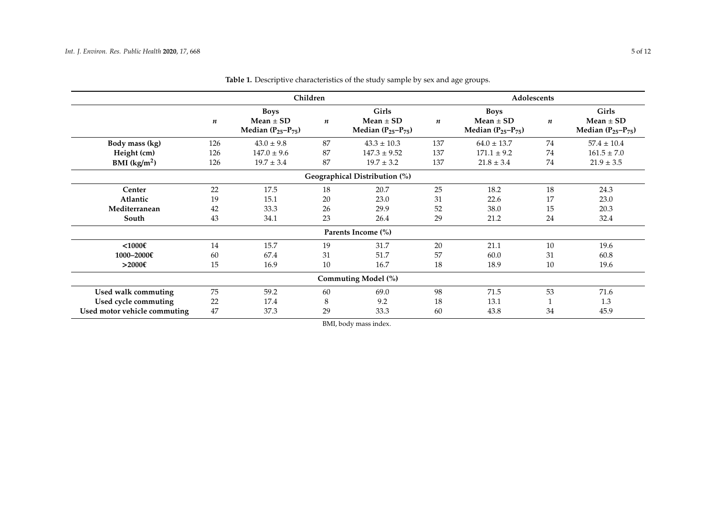<span id="page-4-0"></span>

|                              |     | Children                                                 |                  |                                                           |                  | Adolescents                                              |           |                                                    |
|------------------------------|-----|----------------------------------------------------------|------------------|-----------------------------------------------------------|------------------|----------------------------------------------------------|-----------|----------------------------------------------------|
|                              | n   | <b>Boys</b><br>$Mean \pm SD$<br>Median $(P_{25}-P_{75})$ | $\boldsymbol{n}$ | <b>Girls</b><br>Mean $\pm$ SD<br>Median $(P_{25}-P_{75})$ | $\boldsymbol{n}$ | <b>Boys</b><br>Mean $\pm$ SD<br>Median $(P_{25}-P_{75})$ | $\pmb{n}$ | Girls<br>Mean $\pm$ SD<br>Median $(P_{25}-P_{75})$ |
| Body mass (kg)               | 126 | $43.0 \pm 9.8$                                           | 87               | $43.3 \pm 10.3$                                           | 137              | $64.0 \pm 13.7$                                          | 74        | $57.4 \pm 10.4$                                    |
| Height (cm)                  | 126 | $147.0 \pm 9.6$                                          | 87               | $147.3 \pm 9.52$                                          | 137              | $171.1 \pm 9.2$                                          | 74        | $161.5 \pm 7.0$                                    |
| BMI $(kg/m2)$                | 126 | $19.7 \pm 3.4$                                           | 87               | $19.7 \pm 3.2$                                            | 137              | $21.8 \pm 3.4$                                           | 74        | $21.9 \pm 3.5$                                     |
|                              |     |                                                          |                  | Geographical Distribution (%)                             |                  |                                                          |           |                                                    |
| Center                       | 22  | 17.5                                                     | 18               | 20.7                                                      | 25               | 18.2                                                     | 18        | 24.3                                               |
| Atlantic                     | 19  | 15.1                                                     | 20               | 23.0                                                      | 31               | 22.6                                                     | 17        | 23.0                                               |
| Mediterranean                | 42  | 33.3                                                     | 26               | 29.9                                                      | 52               | 38.0                                                     | 15        | 20.3                                               |
| South                        | 43  | 34.1                                                     | 23               | 26.4                                                      | 29               | 21.2                                                     | 24        | 32.4                                               |
|                              |     |                                                          |                  | Parents Income (%)                                        |                  |                                                          |           |                                                    |
| $<$ 1000€                    | 14  | 15.7                                                     | 19               | 31.7                                                      | 20               | 21.1                                                     | 10        | 19.6                                               |
| 1000-2000€                   | 60  | 67.4                                                     | 31               | 51.7                                                      | 57               | 60.0                                                     | 31        | 60.8                                               |
| >2000€                       | 15  | 16.9                                                     | 10               | 16.7                                                      | 18               | 18.9                                                     | 10        | 19.6                                               |
|                              |     |                                                          |                  | Commuting Model (%)                                       |                  |                                                          |           |                                                    |
| Used walk commuting          | 75  | 59.2                                                     | 60               | 69.0                                                      | 98               | 71.5                                                     | 53        | 71.6                                               |
| Used cycle commuting         | 22  | 17.4                                                     | 8                | 9.2                                                       | 18               | 13.1                                                     |           | 1.3                                                |
| Used motor vehicle commuting | 47  | 37.3                                                     | 29               | 33.3                                                      | 60               | 43.8                                                     | 34        | 45.9                                               |

**Table 1.** Descriptive characteristics of the study sample by sex and age groups.

BMI, body mass index.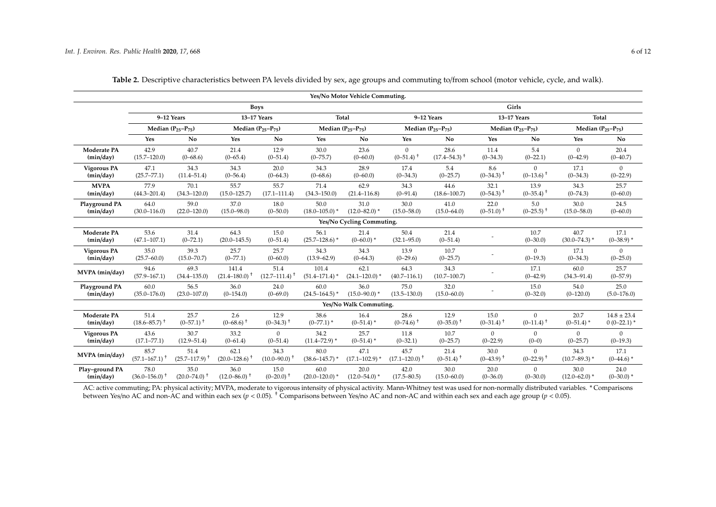|                    |                           |                          |                           |                                       |                             | Yes/No Motor Vehicle Commuting.       |                          |                          |                         |                          |                          |                      |
|--------------------|---------------------------|--------------------------|---------------------------|---------------------------------------|-----------------------------|---------------------------------------|--------------------------|--------------------------|-------------------------|--------------------------|--------------------------|----------------------|
|                    |                           |                          |                           | <b>Boys</b>                           |                             |                                       |                          |                          |                         | Girls                    |                          |                      |
|                    | 9-12 Years<br>13-17 Years |                          |                           | <b>Total</b>                          |                             | 9-12 Years                            |                          | 13-17 Years              |                         | <b>Total</b>             |                          |                      |
|                    |                           | Median $(P_{25}-P_{75})$ |                           | Median $(P_{25}-P_{75})$              |                             | Median $(P_{25}-P_{75})$              |                          | Median $(P_{25}-P_{75})$ |                         | Median $(P_{25}-P_{75})$ | Median $(P_{25}-P_{75})$ |                      |
|                    | Yes                       | No                       | Yes                       | No                                    | Yes                         | No                                    | Yes                      | No                       | Yes                     | No                       | Yes                      | No                   |
| Moderate PA        | 42.9                      | 40.7                     | 21.4                      | 12.9                                  | 30.0                        | 23.6                                  | $\Omega$                 | 28.6                     | 11.4                    | 5.4                      | $\mathbf{0}$             | 20.4                 |
| (min/day)          | $(15.7 - 120.0)$          | $(0 - 68.6)$             | $(0 - 65.4)$              | $(0 - 51.4)$                          | $(0 - 75.7)$                | $(0 - 60.0)$                          | $(0-51.4)$ <sup>+</sup>  | $(17.4 - 54.3)^+$        | $(0 - 34.3)$            | $(0-22.1)$               | $(0-42.9)$               | $(0 - 40.7)$         |
| Vigorous PA        | 47.1                      | 34.3                     | 34.3                      | 20.0                                  | 34.3                        | 28.9                                  | 17.4                     | 5.4                      | 8.6                     | $\mathbf{0}$             | 17.1                     | $\mathbf{0}$         |
| (min/day)          | $(25.7 - 77.1)$           | $(11.4 - 51.4)$          | $(0 - 56.4)$              | $(0 - 64.3)$                          | $(0 - 68.6)$                | $(0 - 60.0)$                          | $(0-34.3)$               | $(0-25.7)$               | $(0-34.3)$ <sup>+</sup> | $(0-13.6)$ <sup>+</sup>  | $(0-34.3)$               | $(0-22.9)$           |
| <b>MVPA</b>        | 77.9                      | 70.1                     | 55.7                      | 55.7                                  | 71.4                        | 62.9                                  | 34.3                     | 44.6                     | 32.1                    | 13.9                     | 34.3                     | 25.7                 |
| (min/day)          | $(44.3 - 201.4)$          | $(34.3 - 120.0)$         | $(15.0 - 125.7)$          | $(17.1 - 111.4)$                      | $(34.3 - 150.0)$            | $(21.4 - 116.8)$                      | $(0-91.4)$               | $(18.6 - 100.7)$         | $(0-54.3)$ <sup>+</sup> | $(0-35.4)$ <sup>+</sup>  | $(0 - 74.3)$             | $(0 - 60.0)$         |
| Playground PA      | 64.0                      | 59.0                     | 37.0                      | 18.0                                  | 50.0                        | 31.0                                  | 30.0                     | 41.0                     | 22.0                    | 5.0                      | 30.0                     | 24.5                 |
| (min/day)          | $(30.0 - 116.0)$          | $(22.0 - 120.0)$         | $(15.0 - 98.0)$           | $(0 - 50.0)$                          | $(18.0 - 105.0)^*$          | $(12.0 - 82.0)$ *                     | $(15.0 - 58.0)$          | $(15.0 - 64.0)$          | $(0-51.0)$ <sup>+</sup> | $(0-25.5)$ <sup>+</sup>  | $(15.0 - 58.0)$          | $(0 - 60.0)$         |
|                    |                           |                          |                           |                                       |                             | Yes/No Cycling Commuting.             |                          |                          |                         |                          |                          |                      |
| Moderate PA        | 53.6                      | 31.4                     | 64.3                      | 15.0                                  | 56.1                        | 21.4                                  | 50.4                     | 21.4                     |                         | 10.7                     | 40.7                     | 17.1                 |
| (min/day)          | $(47.1 - 107.1)$          | $(0 - 72.1)$             | $(20.0 - 145.5)$          | $(0 - 51.4)$                          | $(25.7 - 128.6)$ *          | $(0 - 60.0)^*$                        | $(32.1 - 95.0)$          | $(0 - 51.4)$             |                         | $(0 - 30.0)$             | $(30.0 - 74.3)$ *        | $(0-38.9)$ *         |
| <b>Vigorous PA</b> | 35.0                      | 39.3                     | 25.7                      | 25.7                                  | 34.3                        | 34.3                                  | 13.9                     | 10.7                     |                         | $\mathbf{0}$             | 17.1                     | $\Omega$             |
| (min/day)          | $(25.7 - 60.0)$           | $(15.0 - 70.7)$          | $(0-77.1)$                | $(0 - 60.0)$                          | $(13.9 - 62.9)$             | $(0-64.3)$                            | $(0-29.6)$               | $(0-25.7)$               |                         | $(0-19.3)$               | $(0-34.3)$               | $(0 - 25.0)$         |
| MVPA (min/day)     | 94.6<br>$(57.9 - 167.1)$  | 69.3<br>$(34.4 - 135.0)$ | 141.4<br>$(21.4 - 180.0)$ | 51.4<br>$(12.7 - 111.4)$ <sup>+</sup> | 101.4<br>$(51.4 - 171.4)$ * | 62.1<br>$(24.1 - 120.0)$ <sup>*</sup> | 64.3<br>$(40.7 - 116.1)$ | 34.3<br>$(10.7 - 100.7)$ |                         | 17.1<br>$(0 - 42.9)$     | 60.0<br>$(34.3 - 91.4)$  | 25.7<br>$(0 - 57.9)$ |
| Playground PA      | 60.0                      | 56.5                     | 36.0                      | 24.0                                  | 60.0                        | 36.0                                  | 75.0                     | 32.0                     |                         | 15.0                     | 54.0                     | 25.0                 |
| (min/day)          | $(35.0 - 176.0)$          | $(23.0 - 107.0)$         | $(0-154.0)$               | $(0 - 69.0)$                          | $(24.5 - 164.5)^*$          | $(15.0 - 90.0)^*$                     | $(13.5 - 130.0)$         | $(15.0 - 60.0)$          |                         | $(0 - 32.0)$             | $(0-120.0)$              | $(5.0 - 176.0)$      |
|                    |                           |                          |                           |                                       |                             | Yes/No Walk Commuting.                |                          |                          |                         |                          |                          |                      |
| Moderate PA        | 51.4                      | 25.7                     | 2.6                       | 12.9                                  | 38.6                        | 16.4                                  | 28.6                     | 12.9                     | 15.0                    | $\mathbf{0}$             | 20.7                     | $14.8 \pm 23.4$      |
| (min/day)          | $(18.6 - 85.7)^{+}$       | $(0-57.1)$ <sup>+</sup>  | $(0-68.6)$ <sup>+</sup>   | $(0-34.3)$ <sup>+</sup>               | $(0-77.1)$ *                | $(0-51.4)$ *                          | $(0-74.6)$ <sup>+</sup>  | $(0-35.0)$ <sup>+</sup>  | $(0-31.4)$ <sup>+</sup> | $(0-11.4)$ <sup>+</sup>  | $(0-51.4)$ *             | $0(0-22.1)$ *        |
| <b>Vigorous PA</b> | 43.6                      | 30.7                     | 33.2                      | $\Omega$                              | 34.2                        | 25.7                                  | 11.8                     | 10.7                     | $\mathbf{0}$            | $\mathbf{0}$             | $\mathbf{0}$             | $\mathbf{0}$         |
| (min/day)          | $(17.1 - 77.1)$           | $(12.9 - 51.4)$          | $(0 - 61.4)$              | $(0 - 51.4)$                          | $(11.4 - 72.9)$ *           | $(0-51.4)$ *                          | $(0-32.1)$               | $(0-25.7)$               | $(0-22.9)$              | $(0-0)$                  | $(0-25.7)$               | $(0-19.3)$           |
| MVPA (min/day)     | 85.7                      | 51.4                     | 62.1                      | 34.3                                  | 80.0                        | 47.1                                  | 45.7                     | 21.4                     | 30.0                    | $\Omega$                 | 34.3                     | 17.1                 |
|                    | $(57.1 - 167.1)^+$        | $(25.7 - 117.9)^+$       | $(20.0 - 128.6)^+$        | $(10.0 - 90.0)^{+}$                   | $(38.6 - 145.7)$ *          | $(17.1 - 102.9)$ *                    | $(17.1 - 120.0)^+$       | $(0-51.4)$ <sup>+</sup>  | $(0-43.9)$ <sup>+</sup> | $(0-22.9)$ <sup>+</sup>  | $(10.7 - 89.3)$ *        | $(0-44.6)$ *         |
| Play-ground PA     | 78.0                      | 35.0                     | 36.0                      | 15.0                                  | 60.0                        | 20.0                                  | 42.0                     | 30.0                     | 20.0                    | $\mathbf{0}$             | 30.0                     | 24.0                 |
| (min/day)          | $(36.0 - 156.0)^+$        | $(20.0 - 74.0)^+$        | $(12.0 - 86.0)^+$         | $(0-20.0)$ <sup>+</sup>               | $(20.0 - 120.0)^*$          | $(12.0 - 54.0)^*$                     | $(17.5 - 80.5)$          | $(15.0 - 60.0)$          | $(0 - 36.0)$            | $(0 - 30.0)$             | $(12.0 - 62.0)^*$        | $(0-30.0)$ *         |

**Table 2.** Descriptive characteristics between PA levels divided by sex, age groups and commuting to/from school (motor vehicle, cycle, and walk).

<span id="page-5-0"></span>AC: active commuting; PA: physical activity; MVPA, moderate to vigorous intensity of physical activity. Mann-Whitney test was used for non-normally distributed variables. \* Comparisons between Yes/no AC and non-AC and within each sex (*p* < 0.05). † Comparisons between Yes/no AC and non-AC and within each sex and each age group (*p* < 0.05).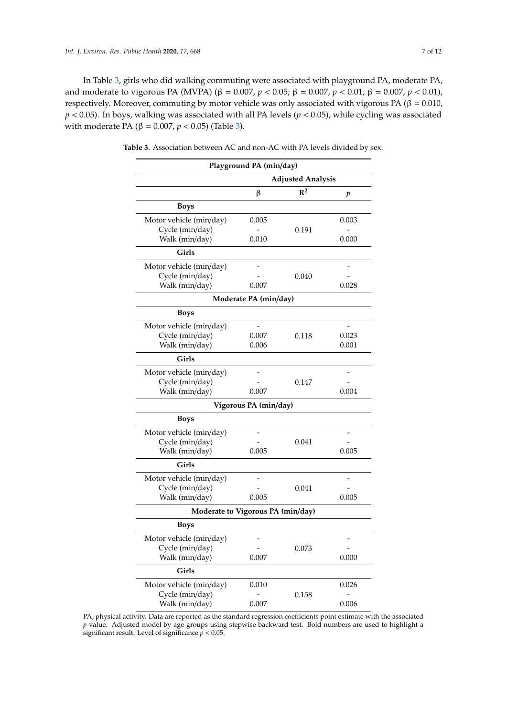In Table [3,](#page-6-0) girls who did walking commuting were associated with playground PA, moderate PA, and moderate to vigorous PA (MVPA) (β = 0.007, *p* < 0.05; β = 0.007, *p* < 0.01; β = 0.007, *p* < 0.01), respectively. Moreover, commuting by motor vehicle was only associated with vigorous PA (β =  $0.010$ , *p* < 0.05). In boys, walking was associated with all PA levels (*p* < 0.05), while cycling was associated with moderate PA ( $β = 0.007$ ,  $p < 0.05$ ) (Table [3\)](#page-6-0).

<span id="page-6-0"></span>**Table 3.** Association between AC and non-AC with PA levels divided by sex.

|                                   | Playground PA (min/day) |                          |       |
|-----------------------------------|-------------------------|--------------------------|-------|
|                                   |                         | <b>Adjusted Analysis</b> |       |
|                                   | β                       | $\mathbb{R}^2$           | p     |
| <b>Boys</b>                       |                         |                          |       |
| Motor vehicle (min/day)           | 0.005                   |                          | 0.003 |
| Cycle (min/day)                   |                         | 0.191                    |       |
| Walk (min/day)                    | 0.010                   |                          | 0.000 |
| Girls                             |                         |                          |       |
| Motor vehicle (min/day)           |                         |                          |       |
| Cycle (min/day)                   |                         | 0.040                    |       |
| Walk (min/day)                    | 0.007                   |                          | 0.028 |
|                                   | Moderate PA (min/day)   |                          |       |
| <b>Boys</b>                       |                         |                          |       |
| Motor vehicle (min/day)           |                         |                          |       |
| Cycle (min/day)                   | 0.007                   | 0.118                    | 0.023 |
| Walk (min/day)                    | 0.006                   |                          | 0.001 |
| Girls                             |                         |                          |       |
| Motor vehicle (min/day)           |                         |                          |       |
| Cycle (min/day)                   |                         | 0.147                    |       |
| Walk (min/day)                    | 0.007                   |                          | 0.004 |
|                                   | Vigorous PA (min/day)   |                          |       |
| <b>Boys</b>                       |                         |                          |       |
| Motor vehicle (min/day)           |                         |                          |       |
| Cycle (min/day)                   |                         | 0.041                    |       |
| Walk (min/day)                    | 0.005                   |                          | 0.005 |
| Girls                             |                         |                          |       |
| Motor vehicle (min/day)           |                         |                          |       |
| Cycle (min/day)                   |                         | 0.041                    |       |
| Walk (min/day)                    | 0.005                   |                          | 0.005 |
| Moderate to Vigorous PA (min/day) |                         |                          |       |
| <b>Boys</b>                       |                         |                          |       |
| Motor vehicle (min/day)           |                         |                          |       |
| Cycle (min/day)                   |                         | 0.073                    |       |
| Walk (min/day)                    | 0.007                   |                          | 0.000 |
| Girls                             |                         |                          |       |
| Motor vehicle (min/day)           | 0.010                   |                          | 0.026 |
| Cycle (min/day)                   |                         | 0.158                    |       |
| Walk (min/day)                    | 0.007                   |                          | 0.006 |

PA, physical activity. Data are reported as the standard regression coefficients point estimate with the associated *p*-value. Adjusted model by age groups using stepwise backward test. Bold numbers are used to highlight a significant result. Level of significance *p* < 0.05.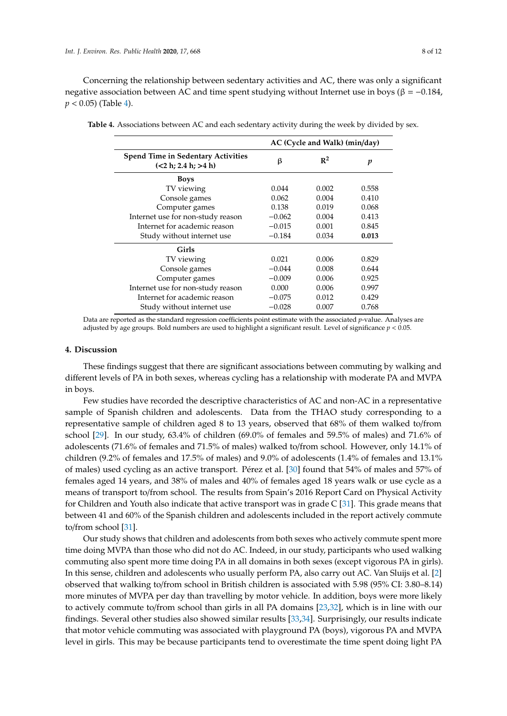Concerning the relationship between sedentary activities and AC, there was only a significant negative association between AC and time spent studying without Internet use in boys (β =  $-0.184$ ,  $p < 0.05$ ) (Table [4\)](#page-7-0).

|                                                                   | AC (Cycle and Walk) (min/day) |                |       |  |  |
|-------------------------------------------------------------------|-------------------------------|----------------|-------|--|--|
| <b>Spend Time in Sedentary Activities</b><br>(<2 h; 2.4 h; > 4 h) | ß                             | $\mathbb{R}^2$ | p     |  |  |
| <b>Boys</b>                                                       |                               |                |       |  |  |
| TV viewing                                                        | 0.044                         | 0.002          | 0.558 |  |  |
| Console games                                                     | 0.062                         | 0.004          | 0.410 |  |  |
| Computer games                                                    | 0.138                         | 0.019          | 0.068 |  |  |
| Internet use for non-study reason                                 | $-0.062$                      | 0.004          | 0.413 |  |  |
| Internet for academic reason                                      | $-0.015$                      | 0.001          | 0.845 |  |  |
| Study without internet use                                        | $-0.184$                      | 0.034          | 0.013 |  |  |
| Girls                                                             |                               |                |       |  |  |
| TV viewing                                                        | 0.021                         | 0.006          | 0.829 |  |  |
| Console games                                                     | $-0.044$                      | 0.008          | 0.644 |  |  |
| Computer games                                                    | $-0.009$                      | 0.006          | 0.925 |  |  |
| Internet use for non-study reason                                 | 0.000                         | 0.006          | 0.997 |  |  |
| Internet for academic reason                                      | $-0.075$                      | 0.012          | 0.429 |  |  |
| Study without internet use                                        | $-0.028$                      | 0.007          | 0.768 |  |  |
|                                                                   |                               |                |       |  |  |

<span id="page-7-0"></span>**Table 4.** Associations between AC and each sedentary activity during the week by divided by sex.

Data are reported as the standard regression coefficients point estimate with the associated *p*-value. Analyses are adjusted by age groups. Bold numbers are used to highlight a significant result. Level of significance *p* < 0.05.

## **4. Discussion**

These findings suggest that there are significant associations between commuting by walking and different levels of PA in both sexes, whereas cycling has a relationship with moderate PA and MVPA in boys.

Few studies have recorded the descriptive characteristics of AC and non-AC in a representative sample of Spanish children and adolescents. Data from the THAO study corresponding to a representative sample of children aged 8 to 13 years, observed that 68% of them walked to/from school [\[29\]](#page-11-1). In our study, 63.4% of children (69.0% of females and 59.5% of males) and 71.6% of adolescents (71.6% of females and 71.5% of males) walked to/from school. However, only 14.1% of children (9.2% of females and 17.5% of males) and 9.0% of adolescents (1.4% of females and 13.1% of males) used cycling as an active transport. Pérez et al. [\[30\]](#page-11-2) found that 54% of males and 57% of females aged 14 years, and 38% of males and 40% of females aged 18 years walk or use cycle as a means of transport to/from school. The results from Spain's 2016 Report Card on Physical Activity for Children and Youth also indicate that active transport was in grade  $C$  [\[31\]](#page-11-3). This grade means that between 41 and 60% of the Spanish children and adolescents included in the report actively commute to/from school [\[31\]](#page-11-3).

Our study shows that children and adolescents from both sexes who actively commute spent more time doing MVPA than those who did not do AC. Indeed, in our study, participants who used walking commuting also spent more time doing PA in all domains in both sexes (except vigorous PA in girls). In this sense, children and adolescents who usually perform PA, also carry out AC. Van Sluijs et al. [\[2\]](#page-9-1) observed that walking to/from school in British children is associated with 5.98 (95% CI: 3.80–8.14) more minutes of MVPA per day than travelling by motor vehicle. In addition, boys were more likely to actively commute to/from school than girls in all PA domains [\[23](#page-10-13)[,32\]](#page-11-4), which is in line with our findings. Several other studies also showed similar results [\[33,](#page-11-5)[34\]](#page-11-6). Surprisingly, our results indicate that motor vehicle commuting was associated with playground PA (boys), vigorous PA and MVPA level in girls. This may be because participants tend to overestimate the time spent doing light PA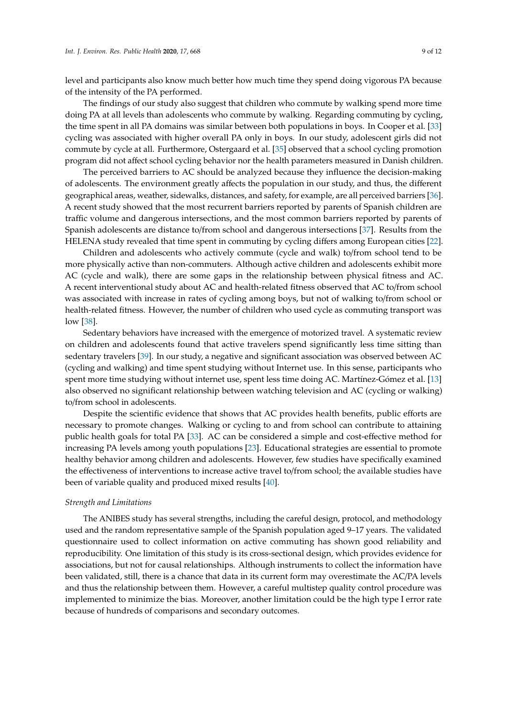level and participants also know much better how much time they spend doing vigorous PA because of the intensity of the PA performed.

The findings of our study also suggest that children who commute by walking spend more time doing PA at all levels than adolescents who commute by walking. Regarding commuting by cycling, the time spent in all PA domains was similar between both populations in boys. In Cooper et al. [\[33\]](#page-11-5) cycling was associated with higher overall PA only in boys. In our study, adolescent girls did not commute by cycle at all. Furthermore, Ostergaard et al. [\[35\]](#page-11-7) observed that a school cycling promotion program did not affect school cycling behavior nor the health parameters measured in Danish children.

The perceived barriers to AC should be analyzed because they influence the decision-making of adolescents. The environment greatly affects the population in our study, and thus, the different geographical areas, weather, sidewalks, distances, and safety, for example, are all perceived barriers [\[36\]](#page-11-8). A recent study showed that the most recurrent barriers reported by parents of Spanish children are traffic volume and dangerous intersections, and the most common barriers reported by parents of Spanish adolescents are distance to/from school and dangerous intersections [\[37\]](#page-11-9). Results from the HELENA study revealed that time spent in commuting by cycling differs among European cities [\[22\]](#page-10-12).

Children and adolescents who actively commute (cycle and walk) to/from school tend to be more physically active than non-commuters. Although active children and adolescents exhibit more AC (cycle and walk), there are some gaps in the relationship between physical fitness and AC. A recent interventional study about AC and health-related fitness observed that AC to/from school was associated with increase in rates of cycling among boys, but not of walking to/from school or health-related fitness. However, the number of children who used cycle as commuting transport was low [\[38\]](#page-11-10).

Sedentary behaviors have increased with the emergence of motorized travel. A systematic review on children and adolescents found that active travelers spend significantly less time sitting than sedentary travelers [\[39\]](#page-11-11). In our study, a negative and significant association was observed between AC (cycling and walking) and time spent studying without Internet use. In this sense, participants who spent more time studying without internet use, spent less time doing AC. Martínez-Gómez et al. [\[13\]](#page-10-3) also observed no significant relationship between watching television and AC (cycling or walking) to/from school in adolescents.

Despite the scientific evidence that shows that AC provides health benefits, public efforts are necessary to promote changes. Walking or cycling to and from school can contribute to attaining public health goals for total PA [\[33\]](#page-11-5). AC can be considered a simple and cost-effective method for increasing PA levels among youth populations [\[23\]](#page-10-13). Educational strategies are essential to promote healthy behavior among children and adolescents. However, few studies have specifically examined the effectiveness of interventions to increase active travel to/from school; the available studies have been of variable quality and produced mixed results [\[40\]](#page-11-12).

#### *Strength and Limitations*

The ANIBES study has several strengths, including the careful design, protocol, and methodology used and the random representative sample of the Spanish population aged 9–17 years. The validated questionnaire used to collect information on active commuting has shown good reliability and reproducibility. One limitation of this study is its cross-sectional design, which provides evidence for associations, but not for causal relationships. Although instruments to collect the information have been validated, still, there is a chance that data in its current form may overestimate the AC/PA levels and thus the relationship between them. However, a careful multistep quality control procedure was implemented to minimize the bias. Moreover, another limitation could be the high type I error rate because of hundreds of comparisons and secondary outcomes.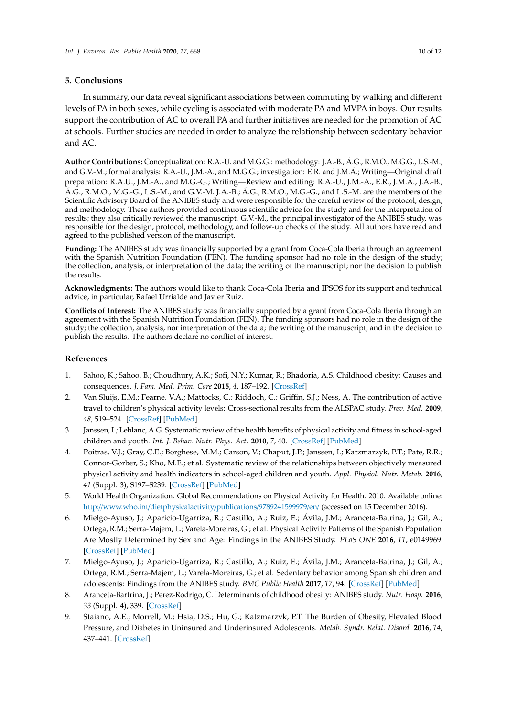# **5. Conclusions**

In summary, our data reveal significant associations between commuting by walking and different levels of PA in both sexes, while cycling is associated with moderate PA and MVPA in boys. Our results support the contribution of AC to overall PA and further initiatives are needed for the promotion of AC at schools. Further studies are needed in order to analyze the relationship between sedentary behavior and AC.

**Author Contributions:** Conceptualization: R.A.-U. and M.G.G.: methodology: J.A.-B., Á.G., R.M.O., M.G.G., L.S.-M., and G.V.-M.; formal analysis: R.A.-U., J.M.-A., and M.G.G.; investigation: E.R. and J.M.Á.; Writing—Original draft preparation: R.A.U., J.M.-A., and M.G.-G.; Writing—Review and editing: R.A.-U., J.M.-A., E.R., J.M.Á., J.A.-B., Á.G., R.M.O., M.G.-G., L.S.-M., and G.V.-M. J.A.-B.; Á.G., R.M.O., M.G.-G., and L.S.-M. are the members of the Scientific Advisory Board of the ANIBES study and were responsible for the careful review of the protocol, design, and methodology. These authors provided continuous scientific advice for the study and for the interpretation of results; they also critically reviewed the manuscript. G.V.-M., the principal investigator of the ANIBES study, was responsible for the design, protocol, methodology, and follow-up checks of the study. All authors have read and agreed to the published version of the manuscript.

**Funding:** The ANIBES study was financially supported by a grant from Coca-Cola Iberia through an agreement with the Spanish Nutrition Foundation (FEN). The funding sponsor had no role in the design of the study; the collection, analysis, or interpretation of the data; the writing of the manuscript; nor the decision to publish the results.

**Acknowledgments:** The authors would like to thank Coca-Cola Iberia and IPSOS for its support and technical advice, in particular, Rafael Urrialde and Javier Ruiz.

**Conflicts of Interest:** The ANIBES study was financially supported by a grant from Coca-Cola Iberia through an agreement with the Spanish Nutrition Foundation (FEN). The funding sponsors had no role in the design of the study; the collection, analysis, nor interpretation of the data; the writing of the manuscript, and in the decision to publish the results. The authors declare no conflict of interest.

# **References**

- <span id="page-9-0"></span>1. Sahoo, K.; Sahoo, B.; Choudhury, A.K.; Sofi, N.Y.; Kumar, R.; Bhadoria, A.S. Childhood obesity: Causes and consequences. *J. Fam. Med. Prim. Care* **2015**, *4*, 187–192. [\[CrossRef\]](http://dx.doi.org/10.4103/2249-4863.154628)
- <span id="page-9-1"></span>2. Van Sluijs, E.M.; Fearne, V.A.; Mattocks, C.; Riddoch, C.; Griffin, S.J.; Ness, A. The contribution of active travel to children's physical activity levels: Cross-sectional results from the ALSPAC study. *Prev. Med.* **2009**, *48*, 519–524. [\[CrossRef\]](http://dx.doi.org/10.1016/j.ypmed.2009.03.002) [\[PubMed\]](http://www.ncbi.nlm.nih.gov/pubmed/19272404)
- <span id="page-9-2"></span>3. Janssen, I.; Leblanc, A.G. Systematic review of the health benefits of physical activity and fitness in school-aged children and youth. *Int. J. Behav. Nutr. Phys. Act.* **2010**, *7*, 40. [\[CrossRef\]](http://dx.doi.org/10.1186/1479-5868-7-40) [\[PubMed\]](http://www.ncbi.nlm.nih.gov/pubmed/20459784)
- <span id="page-9-3"></span>4. Poitras, V.J.; Gray, C.E.; Borghese, M.M.; Carson, V.; Chaput, J.P.; Janssen, I.; Katzmarzyk, P.T.; Pate, R.R.; Connor-Gorber, S.; Kho, M.E.; et al. Systematic review of the relationships between objectively measured physical activity and health indicators in school-aged children and youth. *Appl. Physiol. Nutr. Metab.* **2016**, *41* (Suppl. 3), S197–S239. [\[CrossRef\]](http://dx.doi.org/10.1139/apnm-2015-0663) [\[PubMed\]](http://www.ncbi.nlm.nih.gov/pubmed/27306431)
- <span id="page-9-4"></span>5. World Health Organization. Global Recommendations on Physical Activity for Health. 2010. Available online: http://www.who.int/[dietphysicalactivity](http://www.who.int/dietphysicalactivity/publications/9789241599979/en/)/publications/9789241599979/en/ (accessed on 15 December 2016).
- <span id="page-9-5"></span>6. Mielgo-Ayuso, J.; Aparicio-Ugarriza, R.; Castillo, A.; Ruiz, E.; Ávila, J.M.; Aranceta-Batrina, J.; Gil, A.; Ortega, R.M.; Serra-Majem, L.; Varela-Moreiras, G.; et al. Physical Activity Patterns of the Spanish Population Are Mostly Determined by Sex and Age: Findings in the ANIBES Study. *PLoS ONE* **2016**, *11*, e0149969. [\[CrossRef\]](http://dx.doi.org/10.1371/journal.pone.0149969) [\[PubMed\]](http://www.ncbi.nlm.nih.gov/pubmed/26914609)
- <span id="page-9-6"></span>7. Mielgo-Ayuso, J.; Aparicio-Ugarriza, R.; Castillo, A.; Ruiz, E.; Ávila, J.M.; Aranceta-Batrina, J.; Gil, A.; Ortega, R.M.; Serra-Majem, L.; Varela-Moreiras, G.; et al. Sedentary behavior among Spanish children and adolescents: Findings from the ANIBES study. *BMC Public Health* **2017**, *17*, 94. [\[CrossRef\]](http://dx.doi.org/10.1186/s12889-017-4026-0) [\[PubMed\]](http://www.ncbi.nlm.nih.gov/pubmed/28103843)
- <span id="page-9-7"></span>8. Aranceta-Bartrina, J.; Perez-Rodrigo, C. Determinants of childhood obesity: ANIBES study. *Nutr. Hosp.* **2016**, *33* (Suppl. 4), 339. [\[CrossRef\]](http://dx.doi.org/10.20960/nh.339)
- <span id="page-9-8"></span>9. Staiano, A.E.; Morrell, M.; Hsia, D.S.; Hu, G.; Katzmarzyk, P.T. The Burden of Obesity, Elevated Blood Pressure, and Diabetes in Uninsured and Underinsured Adolescents. *Metab. Syndr. Relat. Disord.* **2016**, *14*, 437–441. [\[CrossRef\]](http://dx.doi.org/10.1089/met.2016.0025)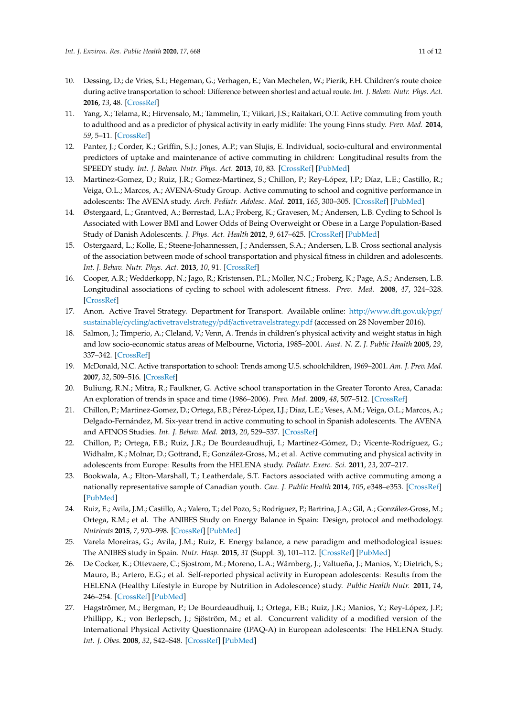- <span id="page-10-0"></span>10. Dessing, D.; de Vries, S.I.; Hegeman, G.; Verhagen, E.; Van Mechelen, W.; Pierik, F.H. Children's route choice during active transportation to school: Difference between shortest and actual route. *Int. J. Behav. Nutr. Phys. Act.* **2016**, *13*, 48. [\[CrossRef\]](http://dx.doi.org/10.1186/s12966-016-0373-y)
- <span id="page-10-1"></span>11. Yang, X.; Telama, R.; Hirvensalo, M.; Tammelin, T.; Viikari, J.S.; Raitakari, O.T. Active commuting from youth to adulthood and as a predictor of physical activity in early midlife: The young Finns study. *Prev. Med.* **2014**, *59*, 5–11. [\[CrossRef\]](http://dx.doi.org/10.1016/j.ypmed.2013.10.019)
- <span id="page-10-2"></span>12. Panter, J.; Corder, K.; Griffin, S.J.; Jones, A.P.; van Slujis, E. Individual, socio-cultural and environmental predictors of uptake and maintenance of active commuting in children: Longitudinal results from the SPEEDY study. *Int. J. Behav. Nutr. Phys. Act.* **2013**, *10*, 83. [\[CrossRef\]](http://dx.doi.org/10.1186/1479-5868-10-83) [\[PubMed\]](http://www.ncbi.nlm.nih.gov/pubmed/23803180)
- <span id="page-10-3"></span>13. Martinez-Gomez, D.; Ruiz, J.R.; Gomez-Martinez, S.; Chillon, P.; Rey-López, J.P.; Díaz, L.E.; Castillo, R.; Veiga, O.L.; Marcos, A.; AVENA-Study Group. Active commuting to school and cognitive performance in adolescents: The AVENA study. *Arch. Pediatr. Adolesc. Med.* **2011**, *165*, 300–305. [\[CrossRef\]](http://dx.doi.org/10.1001/archpediatrics.2010.244) [\[PubMed\]](http://www.ncbi.nlm.nih.gov/pubmed/21135316)
- <span id="page-10-4"></span>14. Østergaard, L.; Grøntved, A.; Børrestad, L.A.; Froberg, K.; Gravesen, M.; Andersen, L.B. Cycling to School Is Associated with Lower BMI and Lower Odds of Being Overweight or Obese in a Large Population-Based Study of Danish Adolescents. *J. Phys. Act. Health* **2012**, *9*, 617–625. [\[CrossRef\]](http://dx.doi.org/10.1123/jpah.9.5.617) [\[PubMed\]](http://www.ncbi.nlm.nih.gov/pubmed/22733866)
- <span id="page-10-5"></span>15. Ostergaard, L.; Kolle, E.; Steene-Johannessen, J.; Anderssen, S.A.; Andersen, L.B. Cross sectional analysis of the association between mode of school transportation and physical fitness in children and adolescents. *Int. J. Behav. Nutr. Phys. Act.* **2013**, *10*, 91. [\[CrossRef\]](http://dx.doi.org/10.1186/1479-5868-10-91)
- <span id="page-10-6"></span>16. Cooper, A.R.; Wedderkopp, N.; Jago, R.; Kristensen, P.L.; Moller, N.C.; Froberg, K.; Page, A.S.; Andersen, L.B. Longitudinal associations of cycling to school with adolescent fitness. *Prev. Med.* **2008**, *47*, 324–328. [\[CrossRef\]](http://dx.doi.org/10.1016/j.ypmed.2008.06.009)
- <span id="page-10-7"></span>17. Anon. Active Travel Strategy. Department for Transport. Available online: http://[www.dft.gov.uk](http://www.dft.gov.uk/pgr/sustainable/cycling/activetravelstrategy/pdf/activetravelstrategy.pdf)/pgr/ sustainable/cycling/activetravelstrategy/pdf/[activetravelstrategy.pdf](http://www.dft.gov.uk/pgr/sustainable/cycling/activetravelstrategy/pdf/activetravelstrategy.pdf) (accessed on 28 November 2016).
- <span id="page-10-8"></span>18. Salmon, J.; Timperio, A.; Cleland, V.; Venn, A. Trends in children's physical activity and weight status in high and low socio-economic status areas of Melbourne, Victoria, 1985–2001. *Aust. N. Z. J. Public Health* **2005**, *29*, 337–342. [\[CrossRef\]](http://dx.doi.org/10.1111/j.1467-842X.2005.tb00204.x)
- <span id="page-10-9"></span>19. McDonald, N.C. Active transportation to school: Trends among U.S. schoolchildren, 1969–2001. *Am. J. Prev. Med.* **2007**, *32*, 509–516. [\[CrossRef\]](http://dx.doi.org/10.1016/j.amepre.2007.02.022)
- <span id="page-10-10"></span>20. Buliung, R.N.; Mitra, R.; Faulkner, G. Active school transportation in the Greater Toronto Area, Canada: An exploration of trends in space and time (1986–2006). *Prev. Med.* **2009**, *48*, 507–512. [\[CrossRef\]](http://dx.doi.org/10.1016/j.ypmed.2009.03.001)
- <span id="page-10-11"></span>21. Chillon, P.; Martinez-Gomez, D.; Ortega, F.B.; Pérez-López, I.J.; Díaz, L.E.; Veses, A.M.; Veiga, O.L.; Marcos, A.; Delgado-Fernández, M. Six-year trend in active commuting to school in Spanish adolescents. The AVENA and AFINOS Studies. *Int. J. Behav. Med.* **2013**, *20*, 529–537. [\[CrossRef\]](http://dx.doi.org/10.1007/s12529-012-9267-9)
- <span id="page-10-12"></span>22. Chillon, P.; Ortega, F.B.; Ruiz, J.R.; De Bourdeaudhuji, I.; Martínez-Gómez, D.; Vicente-Rodríguez, G.; Widhalm, K.; Molnar, D.; Gottrand, F.; González-Gross, M.; et al. Active commuting and physical activity in adolescents from Europe: Results from the HELENA study. *Pediatr. Exerc. Sci.* **2011**, *23*, 207–217.
- <span id="page-10-13"></span>23. Bookwala, A.; Elton-Marshall, T.; Leatherdale, S.T. Factors associated with active commuting among a nationally representative sample of Canadian youth. *Can. J. Public Health* **2014**, *105*, e348–e353. [\[CrossRef\]](http://dx.doi.org/10.17269/cjph.105.4139) [\[PubMed\]](http://www.ncbi.nlm.nih.gov/pubmed/25365269)
- <span id="page-10-14"></span>24. Ruiz, E.; Avila, J.M.; Castillo, A.; Valero, T.; del Pozo, S.; Rodríguez, P.; Bartrina, J.A.; Gil, A.; González-Gross, M.; Ortega, R.M.; et al. The ANIBES Study on Energy Balance in Spain: Design, protocol and methodology. *Nutrients* **2015**, *7*, 970–998. [\[CrossRef\]](http://dx.doi.org/10.3390/nu7020970) [\[PubMed\]](http://www.ncbi.nlm.nih.gov/pubmed/25658237)
- <span id="page-10-15"></span>25. Varela Moreiras, G.; Avila, J.M.; Ruiz, E. Energy balance, a new paradigm and methodological issues: The ANIBES study in Spain. *Nutr. Hosp.* **2015**, *31* (Suppl. 3), 101–112. [\[CrossRef\]](http://dx.doi.org/10.3305/nh.2015.sup3.8758) [\[PubMed\]](http://www.ncbi.nlm.nih.gov/pubmed/25719778)
- <span id="page-10-16"></span>26. De Cocker, K.; Ottevaere, C.; Sjostrom, M.; Moreno, L.A.; Wärnberg, J.; Valtueña, J.; Manios, Y.; Dietrich, S.; Mauro, B.; Artero, E.G.; et al. Self-reported physical activity in European adolescents: Results from the HELENA (Healthy Lifestyle in Europe by Nutrition in Adolescence) study. *Public Health Nutr.* **2011**, *14*, 246–254. [\[CrossRef\]](http://dx.doi.org/10.1017/S1368980010000558) [\[PubMed\]](http://www.ncbi.nlm.nih.gov/pubmed/20236565)
- <span id="page-10-17"></span>27. Hagströmer, M.; Bergman, P.; De Bourdeaudhuij, I.; Ortega, F.B.; Ruiz, J.R.; Manios, Y.; Rey-López, J.P.; Phillipp, K.; von Berlepsch, J.; Sjöström, M.; et al. Concurrent validity of a modified version of the International Physical Activity Questionnaire (IPAQ-A) in European adolescents: The HELENA Study. *Int. J. Obes.* **2008**, *32*, S42–S48. [\[CrossRef\]](http://dx.doi.org/10.1038/ijo.2008.182) [\[PubMed\]](http://www.ncbi.nlm.nih.gov/pubmed/19011653)